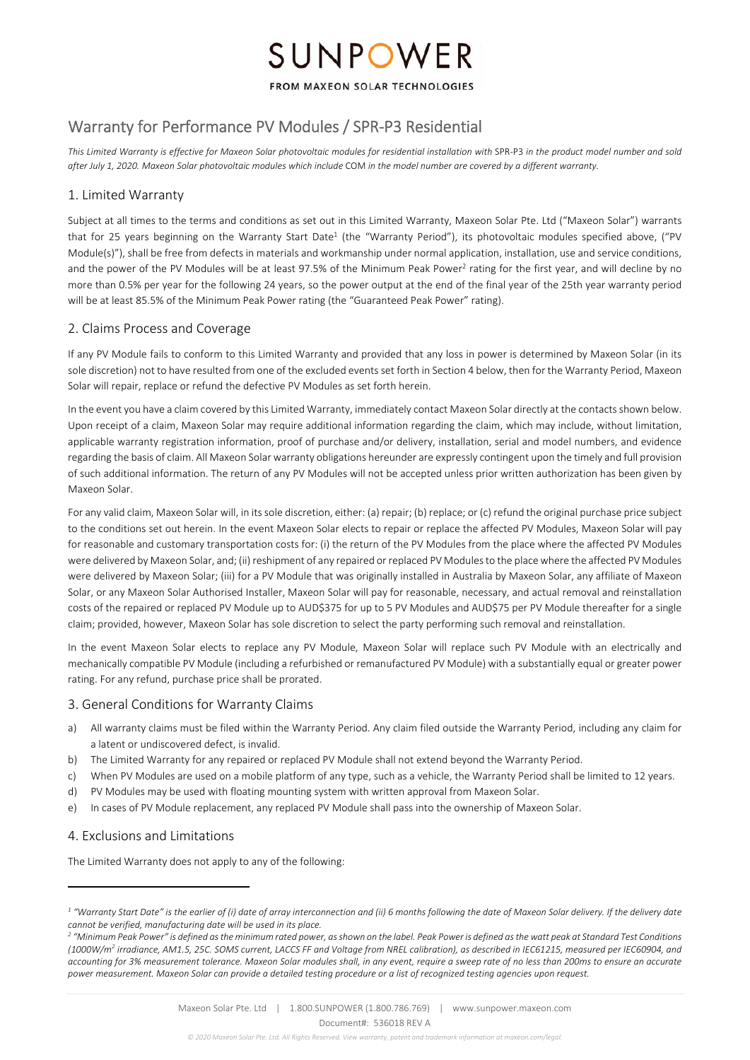# SUNPOWER

#### FROM MAXEON SOLAR TECHNOLOGIES

# Warranty for Performance PV Modules / SPR‐P3 Residential

*This Limited Warranty is effective for Maxeon Solar photovoltaic modules for residential installation with* SPR‐P3 *in the product model number and sold after July 1, 2020. Maxeon Solar photovoltaic modules which include* COM *in the model number are covered by a different warranty.* 

## 1. Limited Warranty

Subject at all times to the terms and conditions as set out in this Limited Warranty, Maxeon Solar Pte. Ltd ("Maxeon Solar") warrants that for 25 years beginning on the Warranty Start Date<sup>1</sup> (the "Warranty Period"), its photovoltaic modules specified above, ("PV Module(s)"), shall be free from defects in materials and workmanship under normal application, installation, use and service conditions, and the power of the PV Modules will be at least 97.5% of the Minimum Peak Power<sup>2</sup> rating for the first year, and will decline by no more than 0.5% per year for the following 24 years, so the power output at the end of the final year of the 25th year warranty period will be at least 85.5% of the Minimum Peak Power rating (the "Guaranteed Peak Power" rating).

### 2. Claims Process and Coverage

If any PV Module fails to conform to this Limited Warranty and provided that any loss in power is determined by Maxeon Solar (in its sole discretion) not to have resulted from one of the excluded events set forth in Section 4 below, then for the Warranty Period, Maxeon Solar will repair, replace or refund the defective PV Modules as set forth herein.

In the event you have a claim covered by this Limited Warranty, immediately contact Maxeon Solar directly at the contacts shown below. Upon receipt of a claim, Maxeon Solar may require additional information regarding the claim, which may include, without limitation, applicable warranty registration information, proof of purchase and/or delivery, installation, serial and model numbers, and evidence regarding the basis of claim. All Maxeon Solar warranty obligations hereunder are expressly contingent upon the timely and full provision of such additional information. The return of any PV Modules will not be accepted unless prior written authorization has been given by Maxeon Solar.

For any valid claim, Maxeon Solar will, in its sole discretion, either: (a) repair; (b) replace; or (c) refund the original purchase price subject to the conditions set out herein. In the event Maxeon Solar elects to repair or replace the affected PV Modules, Maxeon Solar will pay for reasonable and customary transportation costs for: (i) the return of the PV Modules from the place where the affected PV Modules were delivered by Maxeon Solar, and; (ii) reshipment of any repaired or replaced PV Modules to the place where the affected PV Modules were delivered by Maxeon Solar; (iii) for a PV Module that was originally installed in Australia by Maxeon Solar, any affiliate of Maxeon Solar, or any Maxeon Solar Authorised Installer, Maxeon Solar will pay for reasonable, necessary, and actual removal and reinstallation costs of the repaired or replaced PV Module up to AUD\$375 for up to 5 PV Modules and AUD\$75 per PV Module thereafter for a single claim; provided, however, Maxeon Solar has sole discretion to select the party performing such removal and reinstallation.

In the event Maxeon Solar elects to replace any PV Module, Maxeon Solar will replace such PV Module with an electrically and mechanically compatible PV Module (including a refurbished or remanufactured PV Module) with a substantially equal or greater power rating. For any refund, purchase price shall be prorated.

#### 3. General Conditions for Warranty Claims

- a) All warranty claims must be filed within the Warranty Period. Any claim filed outside the Warranty Period, including any claim for a latent or undiscovered defect, is invalid.
- b) The Limited Warranty for any repaired or replaced PV Module shall not extend beyond the Warranty Period.
- c) When PV Modules are used on a mobile platform of any type, such as a vehicle, the Warranty Period shall be limited to 12 years.
- d) PV Modules may be used with floating mounting system with written approval from Maxeon Solar.
- e) In cases of PV Module replacement, any replaced PV Module shall pass into the ownership of Maxeon Solar.

## 4. Exclusions and Limitations

The Limited Warranty does not apply to any of the following:

<sup>&</sup>lt;sup>1</sup> "Warranty Start Date" is the earlier of (i) date of array interconnection and (ii) 6 months following the date of Maxeon Solar delivery. If the delivery date *cannot be verified, manufacturing date will be used in its place.* 

*<sup>2</sup> "Minimum Peak Power" is defined as the minimum rated power, as shown on the label. Peak Power is defined as the watt peak at Standard Test Conditions (1000W/m2 irradiance, AM1.5, 25C. SOMS current, LACCS FF and Voltage from NREL calibration), as described in IEC61215, measured per IEC60904, and accounting for 3% measurement tolerance. Maxeon Solar modules shall, in any event, require a sweep rate of no less than 200ms to ensure an accurate power measurement. Maxeon Solar can provide a detailed testing procedure or a list of recognized testing agencies upon request.*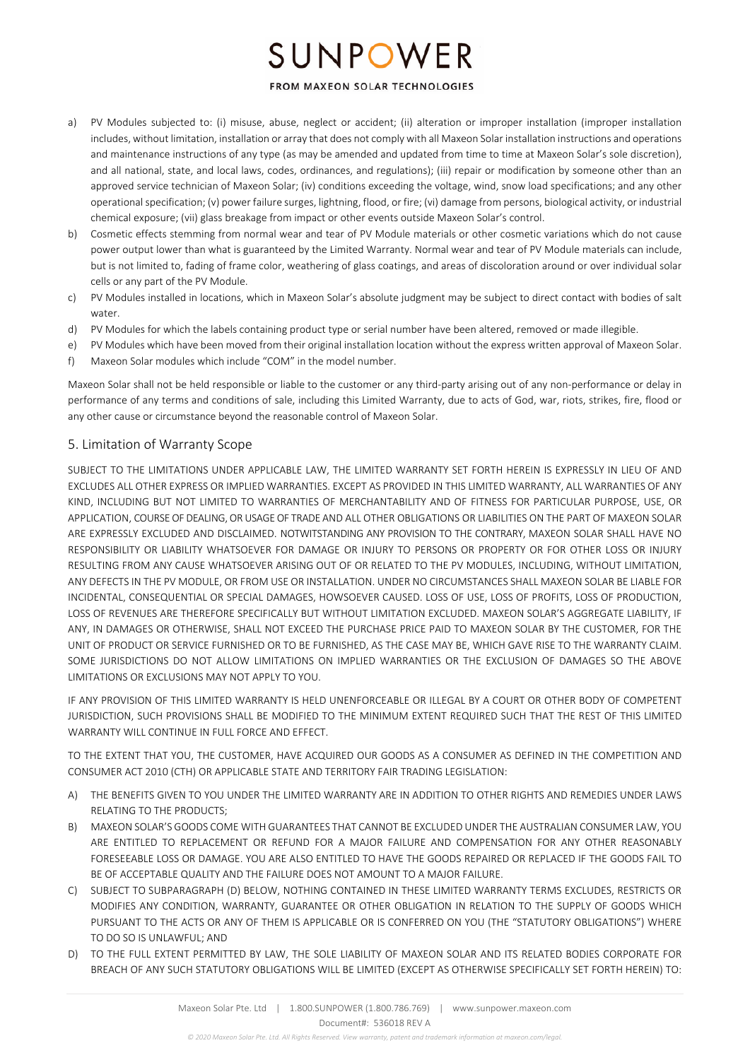# SUNPOWER

### FROM MAXEON SOLAR TECHNOLOGIES

- PV Modules subjected to: (i) misuse, abuse, neglect or accident; (ii) alteration or improper installation (improper installation includes, without limitation, installation or array that does not comply with all Maxeon Solar installation instructions and operations and maintenance instructions of any type (as may be amended and updated from time to time at Maxeon Solar's sole discretion), and all national, state, and local laws, codes, ordinances, and regulations); (iii) repair or modification by someone other than an approved service technician of Maxeon Solar; (iv) conditions exceeding the voltage, wind, snow load specifications; and any other operational specification; (v) power failure surges, lightning, flood, or fire; (vi) damage from persons, biological activity, or industrial chemical exposure; (vii) glass breakage from impact or other events outside Maxeon Solar's control.
- b) Cosmetic effects stemming from normal wear and tear of PV Module materials or other cosmetic variations which do not cause power output lower than what is guaranteed by the Limited Warranty. Normal wear and tear of PV Module materials can include, but is not limited to, fading of frame color, weathering of glass coatings, and areas of discoloration around or over individual solar cells or any part of the PV Module.
- c) PV Modules installed in locations, which in Maxeon Solar's absolute judgment may be subject to direct contact with bodies of salt water.
- d) PV Modules for which the labels containing product type or serial number have been altered, removed or made illegible.
- e) PV Modules which have been moved from their original installation location without the express written approval of Maxeon Solar.
- f) Maxeon Solar modules which include "COM" in the model number.

Maxeon Solar shall not be held responsible or liable to the customer or any third-party arising out of any non-performance or delay in performance of any terms and conditions of sale, including this Limited Warranty, due to acts of God, war, riots, strikes, fire, flood or any other cause or circumstance beyond the reasonable control of Maxeon Solar.

# 5. Limitation of Warranty Scope

SUBJECT TO THE LIMITATIONS UNDER APPLICABLE LAW, THE LIMITED WARRANTY SET FORTH HEREIN IS EXPRESSLY IN LIEU OF AND EXCLUDES ALL OTHER EXPRESS OR IMPLIED WARRANTIES. EXCEPT AS PROVIDED IN THIS LIMITED WARRANTY, ALL WARRANTIES OF ANY KIND, INCLUDING BUT NOT LIMITED TO WARRANTIES OF MERCHANTABILITY AND OF FITNESS FOR PARTICULAR PURPOSE, USE, OR APPLICATION, COURSE OF DEALING, OR USAGE OF TRADE AND ALL OTHER OBLIGATIONS OR LIABILITIES ON THE PART OF MAXEON SOLAR ARE EXPRESSLY EXCLUDED AND DISCLAIMED. NOTWITSTANDING ANY PROVISION TO THE CONTRARY, MAXEON SOLAR SHALL HAVE NO RESPONSIBILITY OR LIABILITY WHATSOEVER FOR DAMAGE OR INJURY TO PERSONS OR PROPERTY OR FOR OTHER LOSS OR INJURY RESULTING FROM ANY CAUSE WHATSOEVER ARISING OUT OF OR RELATED TO THE PV MODULES, INCLUDING, WITHOUT LIMITATION, ANY DEFECTS IN THE PV MODULE, OR FROM USE OR INSTALLATION. UNDER NO CIRCUMSTANCES SHALL MAXEON SOLAR BE LIABLE FOR INCIDENTAL, CONSEQUENTIAL OR SPECIAL DAMAGES, HOWSOEVER CAUSED. LOSS OF USE, LOSS OF PROFITS, LOSS OF PRODUCTION, LOSS OF REVENUES ARE THEREFORE SPECIFICALLY BUT WITHOUT LIMITATION EXCLUDED. MAXEON SOLAR'S AGGREGATE LIABILITY, IF ANY, IN DAMAGES OR OTHERWISE, SHALL NOT EXCEED THE PURCHASE PRICE PAID TO MAXEON SOLAR BY THE CUSTOMER, FOR THE UNIT OF PRODUCT OR SERVICE FURNISHED OR TO BE FURNISHED, AS THE CASE MAY BE, WHICH GAVE RISE TO THE WARRANTY CLAIM. SOME JURISDICTIONS DO NOT ALLOW LIMITATIONS ON IMPLIED WARRANTIES OR THE EXCLUSION OF DAMAGES SO THE ABOVE LIMITATIONS OR EXCLUSIONS MAY NOT APPLY TO YOU.

IF ANY PROVISION OF THIS LIMITED WARRANTY IS HELD UNENFORCEABLE OR ILLEGAL BY A COURT OR OTHER BODY OF COMPETENT JURISDICTION, SUCH PROVISIONS SHALL BE MODIFIED TO THE MINIMUM EXTENT REQUIRED SUCH THAT THE REST OF THIS LIMITED WARRANTY WILL CONTINUE IN FULL FORCE AND EFFECT.

TO THE EXTENT THAT YOU, THE CUSTOMER, HAVE ACQUIRED OUR GOODS AS A CONSUMER AS DEFINED IN THE COMPETITION AND CONSUMER ACT 2010 (CTH) OR APPLICABLE STATE AND TERRITORY FAIR TRADING LEGISLATION:

- A) THE BENEFITS GIVEN TO YOU UNDER THE LIMITED WARRANTY ARE IN ADDITION TO OTHER RIGHTS AND REMEDIES UNDER LAWS RELATING TO THE PRODUCTS;
- B) MAXEON SOLAR'S GOODS COME WITH GUARANTEES THAT CANNOT BE EXCLUDED UNDER THE AUSTRALIAN CONSUMER LAW, YOU ARE ENTITLED TO REPLACEMENT OR REFUND FOR A MAJOR FAILURE AND COMPENSATION FOR ANY OTHER REASONABLY FORESEEABLE LOSS OR DAMAGE. YOU ARE ALSO ENTITLED TO HAVE THE GOODS REPAIRED OR REPLACED IF THE GOODS FAIL TO BE OF ACCEPTABLE QUALITY AND THE FAILURE DOES NOT AMOUNT TO A MAJOR FAILURE.
- C) SUBJECT TO SUBPARAGRAPH (D) BELOW, NOTHING CONTAINED IN THESE LIMITED WARRANTY TERMS EXCLUDES, RESTRICTS OR MODIFIES ANY CONDITION, WARRANTY, GUARANTEE OR OTHER OBLIGATION IN RELATION TO THE SUPPLY OF GOODS WHICH PURSUANT TO THE ACTS OR ANY OF THEM IS APPLICABLE OR IS CONFERRED ON YOU (THE "STATUTORY OBLIGATIONS") WHERE TO DO SO IS UNLAWFUL; AND
- D) TO THE FULL EXTENT PERMITTED BY LAW, THE SOLE LIABILITY OF MAXEON SOLAR AND ITS RELATED BODIES CORPORATE FOR BREACH OF ANY SUCH STATUTORY OBLIGATIONS WILL BE LIMITED (EXCEPT AS OTHERWISE SPECIFICALLY SET FORTH HEREIN) TO: